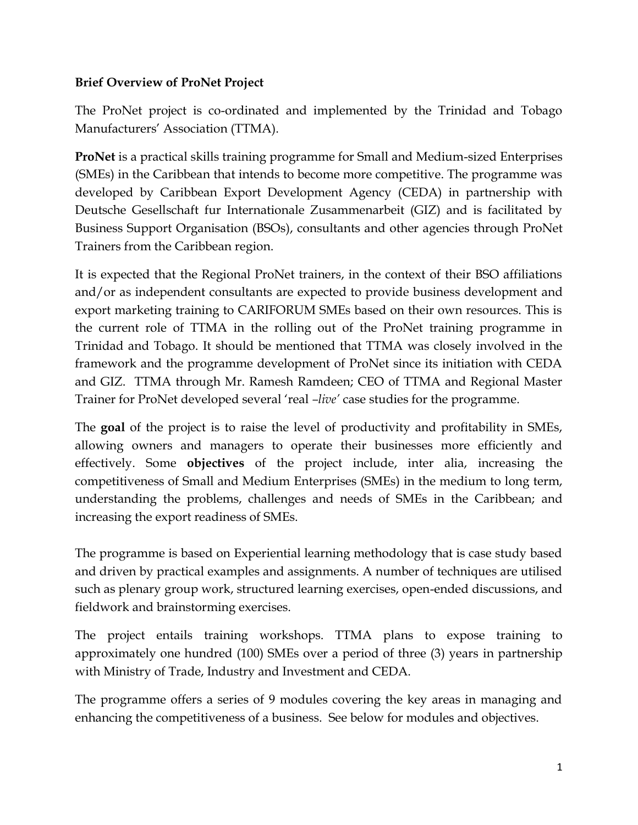## **Brief Overview of ProNet Project**

The ProNet project is co-ordinated and implemented by the Trinidad and Tobago Manufacturers' Association (TTMA).

**ProNet** is a practical skills training programme for Small and Medium-sized Enterprises (SMEs) in the Caribbean that intends to become more competitive. The programme was developed by Caribbean Export Development Agency (CEDA) in partnership with Deutsche Gesellschaft fur Internationale Zusammenarbeit (GIZ) and is facilitated by Business Support Organisation (BSOs), consultants and other agencies through ProNet Trainers from the Caribbean region.

It is expected that the Regional ProNet trainers, in the context of their BSO affiliations and/or as independent consultants are expected to provide business development and export marketing training to CARIFORUM SMEs based on their own resources. This is the current role of TTMA in the rolling out of the ProNet training programme in Trinidad and Tobago. It should be mentioned that TTMA was closely involved in the framework and the programme development of ProNet since its initiation with CEDA and GIZ. TTMA through Mr. Ramesh Ramdeen; CEO of TTMA and Regional Master Trainer for ProNet developed several 'real *–live'* case studies for the programme.

The **goal** of the project is to raise the level of productivity and profitability in SMEs, allowing owners and managers to operate their businesses more efficiently and effectively. Some **objectives** of the project include, inter alia, increasing the competitiveness of Small and Medium Enterprises (SMEs) in the medium to long term, understanding the problems, challenges and needs of SMEs in the Caribbean; and increasing the export readiness of SMEs.

The programme is based on Experiential learning methodology that is case study based and driven by practical examples and assignments. A number of techniques are utilised such as plenary group work, structured learning exercises, open-ended discussions, and fieldwork and brainstorming exercises.

The project entails training workshops. TTMA plans to expose training to approximately one hundred (100) SMEs over a period of three (3) years in partnership with Ministry of Trade, Industry and Investment and CEDA.

The programme offers a series of 9 modules covering the key areas in managing and enhancing the competitiveness of a business. See below for modules and objectives.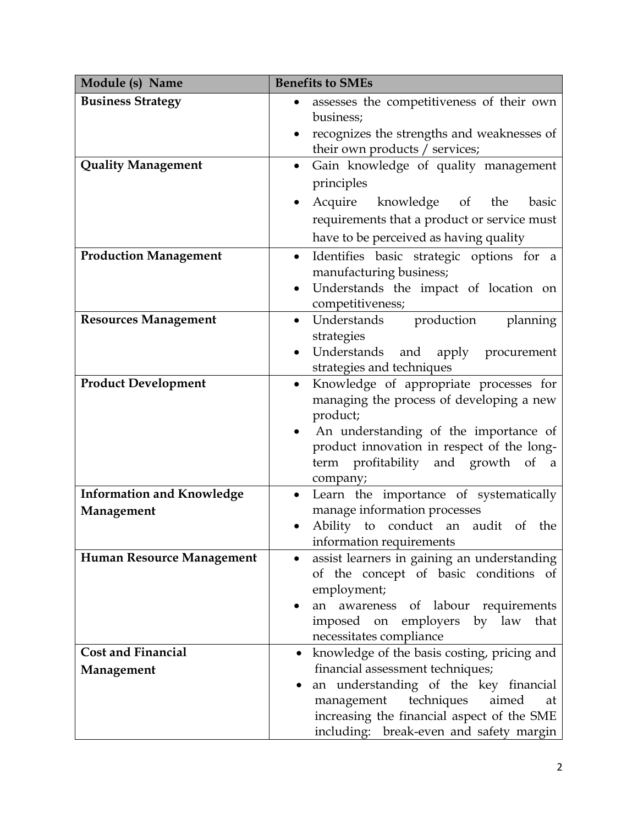| Module (s) Name                  | <b>Benefits to SMEs</b>                                                              |
|----------------------------------|--------------------------------------------------------------------------------------|
| <b>Business Strategy</b>         | assesses the competitiveness of their own                                            |
|                                  | business;                                                                            |
|                                  | recognizes the strengths and weaknesses of                                           |
| <b>Quality Management</b>        | their own products / services;                                                       |
|                                  | Gain knowledge of quality management<br>$\bullet$<br>principles                      |
|                                  |                                                                                      |
|                                  | Acquire knowledge of<br>the<br>basic                                                 |
|                                  | requirements that a product or service must                                          |
|                                  | have to be perceived as having quality                                               |
| <b>Production Management</b>     | Identifies basic strategic options for a<br>$\bullet$                                |
|                                  | manufacturing business;<br>Understands the impact of location on                     |
|                                  | competitiveness;                                                                     |
| <b>Resources Management</b>      | Understands production<br>planning<br>$\bullet$                                      |
|                                  | strategies                                                                           |
|                                  | Understands and apply<br>procurement                                                 |
|                                  | strategies and techniques                                                            |
| <b>Product Development</b>       | Knowledge of appropriate processes for<br>$\bullet$                                  |
|                                  | managing the process of developing a new<br>product;                                 |
|                                  | An understanding of the importance of                                                |
|                                  | product innovation in respect of the long-                                           |
|                                  | term profitability and growth of<br>$\alpha$                                         |
|                                  | company;                                                                             |
| <b>Information and Knowledge</b> | Learn the importance of systematically                                               |
| Management                       | manage information processes                                                         |
|                                  | Ability to conduct an audit of the                                                   |
| Human Resource Management        | information requirements                                                             |
|                                  | assist learners in gaining an understanding<br>of the concept of basic conditions of |
|                                  | employment;                                                                          |
|                                  | awareness of labour requirements<br>an                                               |
|                                  | imposed on employers by law that                                                     |
|                                  | necessitates compliance                                                              |
| <b>Cost and Financial</b>        | knowledge of the basis costing, pricing and<br>$\bullet$                             |
| Management                       | financial assessment techniques;                                                     |
|                                  | an understanding of the key financial<br>techniques<br>aimed<br>management<br>at     |
|                                  | increasing the financial aspect of the SME                                           |
|                                  | including: break-even and safety margin                                              |